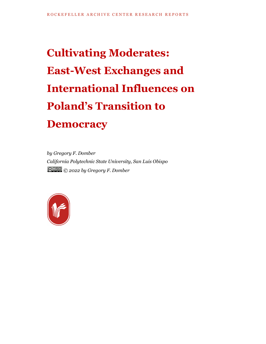## **Cultivating Moderates: East-West Exchanges and International Influences on Poland's Transition to Democracy**

*by Gregory F. Domber California Polytechnic State University, San Luis Obispo © 2022 by Gregory F. Domber*

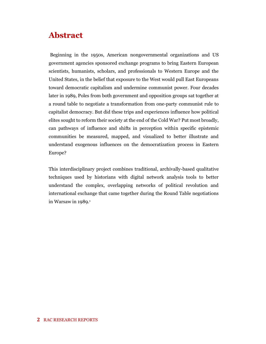## **Abstract**

Beginning in the 1950s, American nongovernmental organizations and US government agencies sponsored exchange programs to bring Eastern European scientists, humanists, scholars, and professionals to Western Europe and the United States, in the belief that exposure to the West would pull East Europeans toward democratic capitalism and undermine communist power. Four decades later in 1989, Poles from both government and opposition groups sat together at a round table to negotiate a transformation from one-party communist rule to capitalist democracy. But did these trips and experiences influence how political elites sought to reform their society at the end of the Cold War? Put most broadly, can pathways of influence and shifts in perception within specific epistemic communities be measured, mapped, and visualized to better illustrate and understand exogenous influences on the democratization process in Eastern Europe?

This interdisciplinary project combines traditional, archivally-based qualitative techniques used by historians with digital network analysis tools to better understand the complex, overlapping networks of political revolution and international exchange that came together during the Round Table negotiations in Warsaw in  $1989.<sup>1</sup>$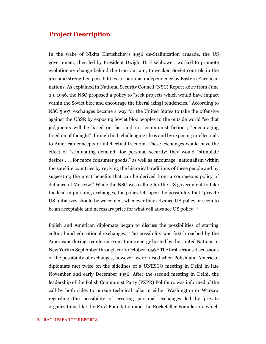## **Project Description**

In the wake of Nikita Khrushchev's 1956 de-Stalinization crusade, the US government, then led by President Dwight D. Eisenhower, worked to promote evolutionary change behind the Iron Curtain, to weaken Soviet controls in the area and strengthen possibilities for national independence by Eastern European nations. As explained in National Security Council (NSC) Report 5607 from June 29, 1956, the NSC proposed a policy to "seek projects which would have impact within the Soviet bloc and encourage the liberal[izing] tendencies." According to NSC 5607, exchanges became a way for the United States to take the offensive against the USSR by exposing Soviet bloc peoples to the outside world "so that judgments will be based on fact and not communist fiction"; "encouraging freedom of thought" through both challenging ideas and by exposing intellectuals to American concepts of intellectual freedom. These exchanges would have the effect of "stimulating demand" for personal security; they would "stimulate desires . . . for more consumer goods," as well as encourage "nationalism within the satellite countries by reviving the historical traditions of these people and by suggesting the great benefits that can be derived from a courageous policy of defiance of Moscow." While the NSC was calling for the US government to take the lead in pursuing exchanges, the policy left open the possibility that "private US initiatives should be welcomed, whenever they advance US policy or seem to be an acceptable and necessary price for what will advance US policy."<sup>2</sup>

Polish and American diplomats began to discuss the possibilities of starting cultural and educational exchanges.<sup>3</sup> The possibility was first broached by the Americans during a conference on atomic energy hosted by the United Nations in New York in September through early October 1956. <sup>4</sup> The first serious discussions of the possibility of exchanges, however, were raised when Polish and American diplomats met twice on the sidelines of a UNESCO meeting in Delhi in late November and early December 1956. After the second meeting in Delhi, the leadership of the Polish Communist Party (PZPR) Politburo was informed of the call by both sides to pursue technical talks in either Washington or Warsaw regarding the possibility of creating personal exchanges led by private organizations like the Ford Foundation and the Rockefeller Foundation, which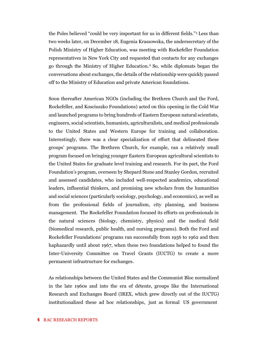the Poles believed "could be very important for us in different fields."<sup>5</sup> Less than two weeks later, on December 18, Eugenia Krassowska, the undersecretary of the Polish Ministry of Higher Education, was meeting with Rockefeller Foundation representatives in New York City and requested that contacts for any exchanges go through the Ministry of Higher Education.<sup>6</sup> So, while diplomats began the conversations about exchanges, the details of the relationship were quickly passed off to the Ministry of Education and private American foundations.

Soon thereafter American NGOs (including the Brethren Church and the Ford, Rockefeller, and Kosciuszko Foundations) acted on this opening in the Cold War and launched programs to bring hundreds of Eastern European natural scientists, engineers, social scientists, humanists, agriculturalists, and medical professionals to the United States and Western Europe for training and collaboration. Interestingly, there was a clear specialization of effort that delineated these groups' programs. The Brethren Church, for example, ran a relatively small program focused on bringing younger Eastern European agricultural scientists to the United States for graduate level training and research. For its part, the Ford Foundation's program, overseen by Shepard Stone and Stanley Gordon, recruited and assessed candidates, who included well-respected academics, educational leaders, influential thinkers, and promising new scholars from the humanities and social sciences (particularly sociology, psychology, and economics), as well as from the professional fields of journalism, city planning, and business management. The Rockefeller Foundation focused its efforts on professionals in the natural sciences (biology, chemistry, physics) and the medical field (biomedical research, public health, and nursing programs). Both the Ford and Rockefeller Foundations' programs ran successfully from 1956 to 1962 and then haphazardly until about 1967, when these two foundations helped to found the Inter-University Committee on Travel Grants (IUCTG) to create a more permanent infrastructure for exchanges.

As relationships between the United States and the Communist Bloc normalized in the late 1960s and into the era of détente, groups like the International Research and Exchanges Board (IREX, which grew directly out of the IUCTG) institutionalized these ad hoc relationships, just as formal US government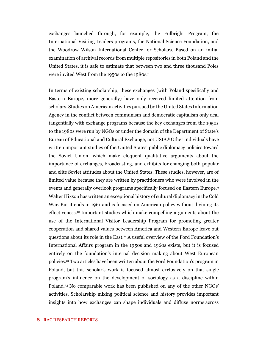exchanges launched through, for example, the Fulbright Program, the International Visiting Leaders programs, the National Science Foundation, and the Woodrow Wilson International Center for Scholars. Based on an initial examination of archival records from multiple repositories in both Poland and the United States, it is safe to estimate that between two and three thousand Poles were invited West from the 1950s to the 1980s.<sup>7</sup>

In terms of existing scholarship, these exchanges (with Poland specifically and Eastern Europe, more generally) have only received limited attention from scholars. Studies on American activities pursued by the United States Information Agency in the conflict between communism and democratic capitalism only deal tangentially with exchange programs because the key exchanges from the 1950s to the 1980s were run by NGOs or under the domain of the Department of State's Bureau of Educational and Cultural Exchange, not USIA.<sup>8</sup> Other individuals have written important studies of the United States' public diplomacy policies toward the Soviet Union, which make eloquent qualitative arguments about the importance of exchanges, broadcasting, and exhibits for changing both popular and elite Soviet attitudes about the United States. These studies, however, are of limited value because they are written by practitioners who were involved in the events and generally overlook programs specifically focused on Eastern Europe.<sup>9</sup> Walter Hixson has written an exceptional history of cultural diplomacy in the Cold War. But it ends in 1961 and is focused on American policy without divining its effectiveness. <sup>10</sup> Important studies which make compelling arguments about the use of the International Visitor Leadership Program for promoting greater cooperation and shared values between America and Western Europe leave out questions about its role in the East.<sup>11</sup> A useful overview of the Ford Foundation's International Affairs program in the 1950s and 1960s exists, but it is focused entirely on the foundation's internal decision making about West European policies.<sup>12</sup> Two articles have been written about the Ford Foundation's program in Poland, but this scholar's work is focused almost exclusively on that single program's influence on the development of sociology as a discipline within Poland. <sup>13</sup> No comparable work has been published on any of the other NGOs' activities. Scholarship mixing political science and history provides important insights into how exchanges can shape individuals and diffuse norms across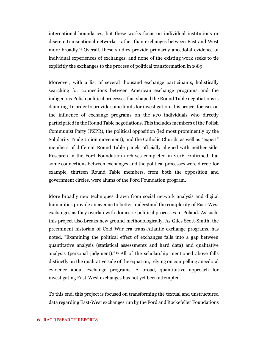international boundaries, but these works focus on individual institutions or discrete transnational networks, rather than exchanges between East and West more broadly.<sup>14</sup> Overall, these studies provide primarily anecdotal evidence of individual experiences of exchanges, and none of the existing work seeks to tie explicitly the exchanges to the process of political transformation in 1989.

Moreover, with a list of several thousand exchange participants, holistically searching for connections between American exchange programs and the indigenous Polish political processes that shaped the Round Table negotiations is daunting. In order to provide some limits for investigation, this project focuses on the influence of exchange programs on the 570 individuals who directly participated in the Round Table negotiations. This includes members of the Polish Communist Party (PZPR), the political opposition (led most prominently by the Solidarity Trade Union movement), and the Catholic Church, as well as "expert" members of different Round Table panels officially aligned with neither side. Research in the Ford Foundation archives completed in 2016 confirmed that some connections between exchanges and the political processes were direct; for example, thirteen Round Table members, from both the opposition and government circles, were alums of the Ford Foundation program.

More broadly new techniques drawn from social network analysis and digital humanities provide an avenue to better understand the complexity of East-West exchanges as they overlap with domestic political processes in Poland. As such, this project also breaks new ground methodologically. As Giles Scott-Smith, the preeminent historian of Cold War era trans-Atlantic exchange programs, has noted, "Examining the political effect of exchanges falls into a gap between quantitative analysis (statistical assessments and hard data) and qualitative analysis (personal judgment)." <sup>15</sup> All of the scholarship mentioned above falls distinctly on the qualitative side of the equation, relying on compelling anecdotal evidence about exchange programs. A broad, quantitative approach for investigating East-West exchanges has not yet been attempted.

To this end, this project is focused on transforming the textual and unstructured data regarding East-West exchanges run by the Ford and Rockefeller Foundations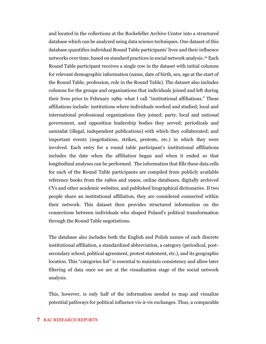and located in the collections at the Rockefeller Archive Center into a structured database which can be analyzed using data science techniques. One dataset of this database quantifies individual Round Table participants' lives and their influence networks over time, based on standard practices in social network analysis.<sup>16</sup> Each Round Table participant receives a single row in the dataset with initial columns for relevant demographic information (name, date of birth, sex, age at the start of the Round Table, profession, role in the Round Table). The dataset also includes columns for the groups and organizations that individuals joined and left during their lives prior to February 1989: what I call "institutional affiliations." These affiliations include: institutions where individuals worked and studied; local and international professional organizations they joined; party, local and national government, and opposition leadership bodies they served; periodicals and samizdat (illegal, independent publications) with which they collaborated; and important events (negotiations, strikes, protests, etc.) in which they were involved. Each entry for a round table participant's institutional affiliations includes the date when the affiliation began and when it ended so that longitudinal analyses can be performed. The information that fills these data cells for each of the Round Table participants are compiled from publicly available reference books from the 1980s and 1990s, online databases, digitally archived CVs and other academic websites, and published biographical dictionaries. If two people share an institutional affiliation, they are considered connected within their network. This dataset then provides structured information on the connections between individuals who shaped Poland's political transformation through the Round Table negotiations.

The database also includes both the English and Polish names of each discrete institutional affiliation, a standardized abbreviation, a category (periodical, postsecondary school, political agreement, protest statement, etc.), and its geographic location. This "categories list" is essential to maintain consistency and allow later filtering of data once we are at the visualization stage of the social network analysis.

This, however, is only half of the information needed to map and visualize potential pathways for political influence vis-à-vis exchanges. Thus, a comparable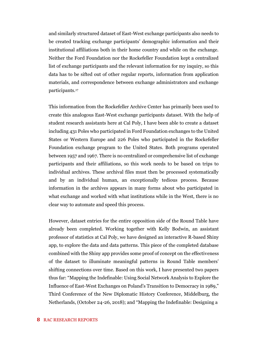and similarly structured dataset of East-West exchange participants also needs to be created tracking exchange participants' demographic information and their institutional affiliations both in their home country and while on the exchange. Neither the Ford Foundation nor the Rockefeller Foundation kept a centralized list of exchange participants and the relevant information for my inquiry, so this data has to be sifted out of other regular reports, information from application materials, and correspondence between exchange administrators and exchange participants.<sup>17</sup>

This information from the Rockefeller Archive Center has primarily been used to create this analogous East-West exchange participants dataset. With the help of student research assistants here at Cal Poly, I have been able to create a dataset including 431 Poles who participated in Ford Foundation exchanges to the United States or Western Europe and 226 Poles who participated in the Rockefeller Foundation exchange program to the United States. Both programs operated between 1957 and 1967. There is no centralized or comprehensive list of exchange participants and their affiliations, so this work needs to be based on trips to individual archives. These archival files must then be processed systematically and by an individual human, an exceptionally tedious process. Because information in the archives appears in many forms about who participated in what exchange and worked with what institutions while in the West, there is no clear way to automate and speed this process.

However, dataset entries for the entire opposition side of the Round Table have already been completed. Working together with Kelly Bodwin, an assistant professor of statistics at Cal Poly, we have designed an interactive R-based Shiny app, to explore the data and data patterns. This piece of the completed database combined with the Shiny app provides some proof of concept on the effectiveness of the dataset to illuminate meaningful patterns in Round Table members' shifting connections over time. Based on this work, I have presented two papers thus far: "Mapping the Indefinable: Using Social Network Analysis to Explore the Influence of East-West Exchanges on Poland's Transition to Democracy in 1989," Third Conference of the New Diplomatic History Conference, Middelburg, the Netherlands, (October 24-26, 2018); and "Mapping the Indefinable: Designing a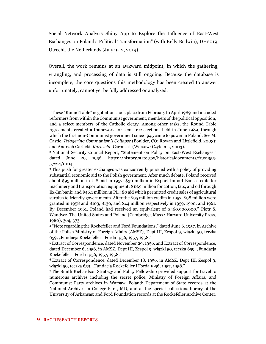Social Network Analysis Shiny App to Explore the Influence of East-West Exchanges on Poland's Political Transformation" (with Kelly Bodwin), DH2019, Utrecht, the Netherlands (July 9-12, 2019).

Overall, the work remains at an awkward midpoint, in which the gathering, wrangling, and processing of data is still ongoing. Because the database is incomplete, the core questions this methodology has been created to answer, unfortunately, cannot yet be fully addressed or analyzed.

<sup>1</sup> These "Round Table" negotiations took place from February to April 1989 and included reformers from within the Communist government, members of the political opposition, and a select members of the Catholic clergy. Among other tasks, the Round Table Agreements created a framework for semi-free elections held in June 1989, through which the first non-Communist government since 1945 came to power in Poland. See M. Castle, *Triggering Communism's Collapse* (Boulder, CO: Rowan and Littlefield, 2003); and Andrzeh Garlicki, *Karuzela* [Carousel] (Warsaw: Czytelnik, 2003).

<sup>2</sup> National Security Council Report, "Statement on Policy on East-West Exchanges." dated June 29, 1956, https://history.state.gov/historicaldocuments/frus1955- 57v24/d104.

<sup>3</sup> This push for greater exchanges was concurrently pursued with a policy of providing substantial economic aid to the Polish government. After much debate, Poland received about \$95 million in U.S. aid in 1957: \$30 million in Export-Import Bank credits for machinery and transportation equipment; \$18.9 million for cotton, fats, and oil through Ex-Im bank; and \$46.1 million in PL 480 aid which permitted credit sales of agricultural surplus to friendly governments. After the \$95 million credits in 1957, \$98 million were granted in 1958 and \$103, \$130, and \$44 million respectively in 1959, 1960, and 1961. By December 1961, Poland had received an equivalent of \$460,900,000." Piotr S. Wandycz. The United States and Poland (Cambridge, Mass.: Harvard University Press, 1980), 364, 373.

<sup>4</sup> "Note regarding the Rockefeller and Ford Foundations," dated June 6, 1957, in Archive of the Polish Ministry of Foreign Affairs (AMSZ), Dept III, Zespoł 9, wiązki 50, teczka 659, "Fundacja Rockefeller i Forda 1956, 1957, 1958."

<sup>5</sup> Extract of Correspondence, dated November 29, 1956, and Extract of Correspondence, dated December 6, 1956, in AMSZ, Dept III, Zespoł 9, wiązki 50, teczka 659, "Fundacja Rockefeller i Forda 1956, 1957, 1958."

<sup>6</sup> Extract of Correspondence, dated December 18, 1956, in AMSZ, Dept III, Zespoł 9, wiązki 50, teczka 659, "Fundacja Rockefeller i Forda 1956, 1957, 1958."

<sup>7</sup> The Smith Richardson Strategy and Policy Fellowship provided support for travel to numerous archives including the secret police, Ministry of Foreign Affairs, and Communist Party archives in Warsaw, Poland; Department of State records at the National Archives in College Park, MD, and at the special collections library of the University of Arkansas; and Ford Foundation records at the Rockefeller Archive Center.